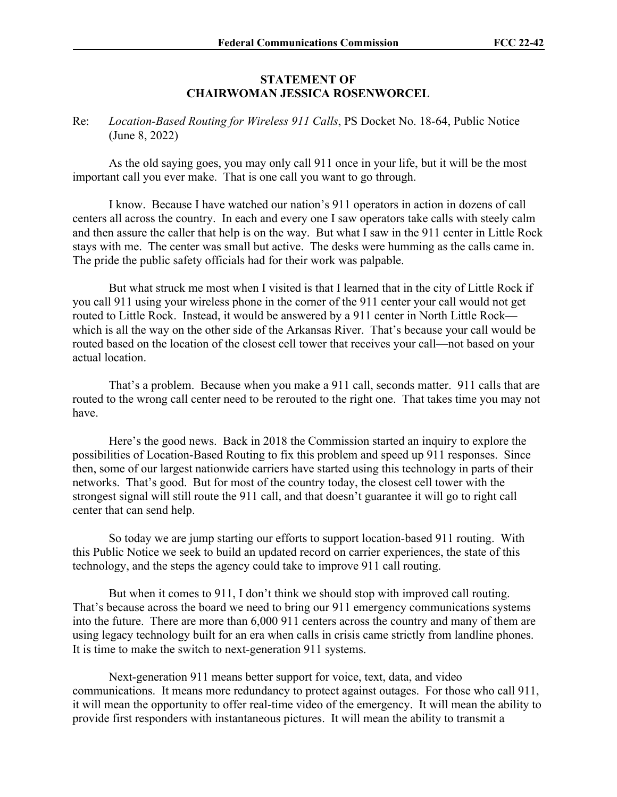## **STATEMENT OF CHAIRWOMAN JESSICA ROSENWORCEL**

Re: *Location-Based Routing for Wireless 911 Calls*, PS Docket No. 18-64, Public Notice (June 8, 2022)

As the old saying goes, you may only call 911 once in your life, but it will be the most important call you ever make. That is one call you want to go through.

I know. Because I have watched our nation's 911 operators in action in dozens of call centers all across the country. In each and every one I saw operators take calls with steely calm and then assure the caller that help is on the way. But what I saw in the 911 center in Little Rock stays with me. The center was small but active. The desks were humming as the calls came in. The pride the public safety officials had for their work was palpable.

But what struck me most when I visited is that I learned that in the city of Little Rock if you call 911 using your wireless phone in the corner of the 911 center your call would not get routed to Little Rock. Instead, it would be answered by a 911 center in North Little Rock which is all the way on the other side of the Arkansas River. That's because your call would be routed based on the location of the closest cell tower that receives your call—not based on your actual location.

That's a problem. Because when you make a 911 call, seconds matter. 911 calls that are routed to the wrong call center need to be rerouted to the right one. That takes time you may not have.

Here's the good news. Back in 2018 the Commission started an inquiry to explore the possibilities of Location-Based Routing to fix this problem and speed up 911 responses. Since then, some of our largest nationwide carriers have started using this technology in parts of their networks. That's good. But for most of the country today, the closest cell tower with the strongest signal will still route the 911 call, and that doesn't guarantee it will go to right call center that can send help.

So today we are jump starting our efforts to support location-based 911 routing. With this Public Notice we seek to build an updated record on carrier experiences, the state of this technology, and the steps the agency could take to improve 911 call routing.

But when it comes to 911, I don't think we should stop with improved call routing. That's because across the board we need to bring our 911 emergency communications systems into the future. There are more than 6,000 911 centers across the country and many of them are using legacy technology built for an era when calls in crisis came strictly from landline phones. It is time to make the switch to next-generation 911 systems.

Next-generation 911 means better support for voice, text, data, and video communications. It means more redundancy to protect against outages. For those who call 911, it will mean the opportunity to offer real-time video of the emergency. It will mean the ability to provide first responders with instantaneous pictures. It will mean the ability to transmit a